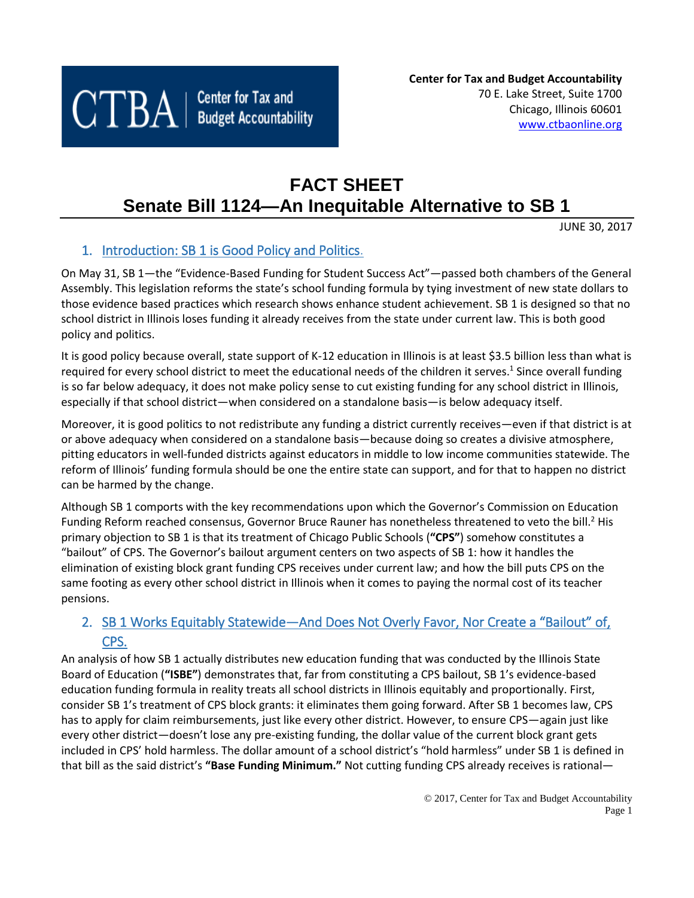

# **FACT SHEET Senate Bill 1124—An Inequitable Alternative to SB 1**

JUNE 30, 2017

# 1. Introduction: SB 1 is Good Policy and Politics.

On May 31, SB 1—the "Evidence-Based Funding for Student Success Act"—passed both chambers of the General Assembly. This legislation reforms the state's school funding formula by tying investment of new state dollars to those evidence based practices which research shows enhance student achievement. SB 1 is designed so that no school district in Illinois loses funding it already receives from the state under current law. This is both good policy and politics.

It is good policy because overall, state support of K-12 education in Illinois is at least \$3.5 billion less than what is required for every school district to meet the educational needs of the children it serves.<sup>1</sup> Since overall funding is so far below adequacy, it does not make policy sense to cut existing funding for any school district in Illinois, especially if that school district—when considered on a standalone basis—is below adequacy itself.

Moreover, it is good politics to not redistribute any funding a district currently receives—even if that district is at or above adequacy when considered on a standalone basis—because doing so creates a divisive atmosphere, pitting educators in well-funded districts against educators in middle to low income communities statewide. The reform of Illinois' funding formula should be one the entire state can support, and for that to happen no district can be harmed by the change.

Although SB 1 comports with the key recommendations upon which the Governor's Commission on Education Funding Reform reached consensus, Governor Bruce Rauner has nonetheless threatened to veto the bill.<sup>2</sup> His primary objection to SB 1 is that its treatment of Chicago Public Schools (**"CPS"**) somehow constitutes a "bailout" of CPS. The Governor's bailout argument centers on two aspects of SB 1: how it handles the elimination of existing block grant funding CPS receives under current law; and how the bill puts CPS on the same footing as every other school district in Illinois when it comes to paying the normal cost of its teacher pensions.

# 2. SB 1 Works Equitably Statewide—And Does Not Overly Favor, Nor Create a "Bailout" of, CPS.

An analysis of how SB 1 actually distributes new education funding that was conducted by the Illinois State Board of Education (**"ISBE"**) demonstrates that, far from constituting a CPS bailout, SB 1's evidence-based education funding formula in reality treats all school districts in Illinois equitably and proportionally. First, consider SB 1's treatment of CPS block grants: it eliminates them going forward. After SB 1 becomes law, CPS has to apply for claim reimbursements, just like every other district. However, to ensure CPS—again just like every other district—doesn't lose any pre-existing funding, the dollar value of the current block grant gets included in CPS' hold harmless. The dollar amount of a school district's "hold harmless" under SB 1 is defined in that bill as the said district's **"Base Funding Minimum."** Not cutting funding CPS already receives is rational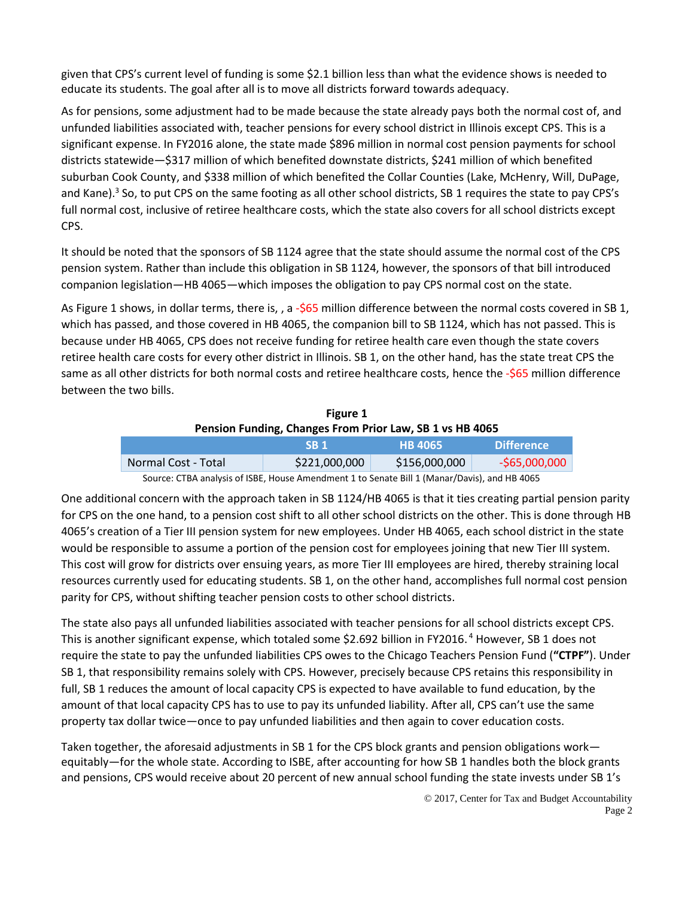given that CPS's current level of funding is some \$2.1 billion less than what the evidence shows is needed to educate its students. The goal after all is to move all districts forward towards adequacy.

As for pensions, some adjustment had to be made because the state already pays both the normal cost of, and unfunded liabilities associated with, teacher pensions for every school district in Illinois except CPS. This is a significant expense. In FY2016 alone, the state made \$896 million in normal cost pension payments for school districts statewide—\$317 million of which benefited downstate districts, \$241 million of which benefited suburban Cook County, and \$338 million of which benefited the Collar Counties (Lake, McHenry, Will, DuPage, and Kane).<sup>3</sup> So, to put CPS on the same footing as all other school districts, SB 1 requires the state to pay CPS's full normal cost, inclusive of retiree healthcare costs, which the state also covers for all school districts except CPS.

It should be noted that the sponsors of SB 1124 agree that the state should assume the normal cost of the CPS pension system. Rather than include this obligation in SB 1124, however, the sponsors of that bill introduced companion legislation—HB 4065—which imposes the obligation to pay CPS normal cost on the state.

As Figure 1 shows, in dollar terms, there is, , a -\$65 million difference between the normal costs covered in SB 1, which has passed, and those covered in HB 4065, the companion bill to SB 1124, which has not passed. This is because under HB 4065, CPS does not receive funding for retiree health care even though the state covers retiree health care costs for every other district in Illinois. SB 1, on the other hand, has the state treat CPS the same as all other districts for both normal costs and retiree healthcare costs, hence the -\$65 million difference between the two bills.

| Figure 1                                                                                     |                 |                |                   |  |  |
|----------------------------------------------------------------------------------------------|-----------------|----------------|-------------------|--|--|
| Pension Funding, Changes From Prior Law, SB 1 vs HB 4065                                     |                 |                |                   |  |  |
|                                                                                              | SB <sub>1</sub> | <b>HB 4065</b> | <b>Difference</b> |  |  |
| Normal Cost - Total                                                                          | \$221,000,000   | \$156,000,000  | $-565,000,000$    |  |  |
| Source: CTBA analysis of ISBE, House Amendment 1 to Senate Bill 1 (Manar/Davis), and HB 4065 |                 |                |                   |  |  |

One additional concern with the approach taken in SB 1124/HB 4065 is that it ties creating partial pension parity for CPS on the one hand, to a pension cost shift to all other school districts on the other. This is done through HB 4065's creation of a Tier III pension system for new employees. Under HB 4065, each school district in the state would be responsible to assume a portion of the pension cost for employees joining that new Tier III system. This cost will grow for districts over ensuing years, as more Tier III employees are hired, thereby straining local resources currently used for educating students. SB 1, on the other hand, accomplishes full normal cost pension parity for CPS, without shifting teacher pension costs to other school districts.

The state also pays all unfunded liabilities associated with teacher pensions for all school districts except CPS. This is another significant expense, which totaled some \$2.692 billion in FY2016.<sup>4</sup> However, SB 1 does not require the state to pay the unfunded liabilities CPS owes to the Chicago Teachers Pension Fund (**"CTPF"**). Under SB 1, that responsibility remains solely with CPS. However, precisely because CPS retains this responsibility in full, SB 1 reduces the amount of local capacity CPS is expected to have available to fund education, by the amount of that local capacity CPS has to use to pay its unfunded liability. After all, CPS can't use the same property tax dollar twice—once to pay unfunded liabilities and then again to cover education costs.

Taken together, the aforesaid adjustments in SB 1 for the CPS block grants and pension obligations work equitably—for the whole state. According to ISBE, after accounting for how SB 1 handles both the block grants and pensions, CPS would receive about 20 percent of new annual school funding the state invests under SB 1's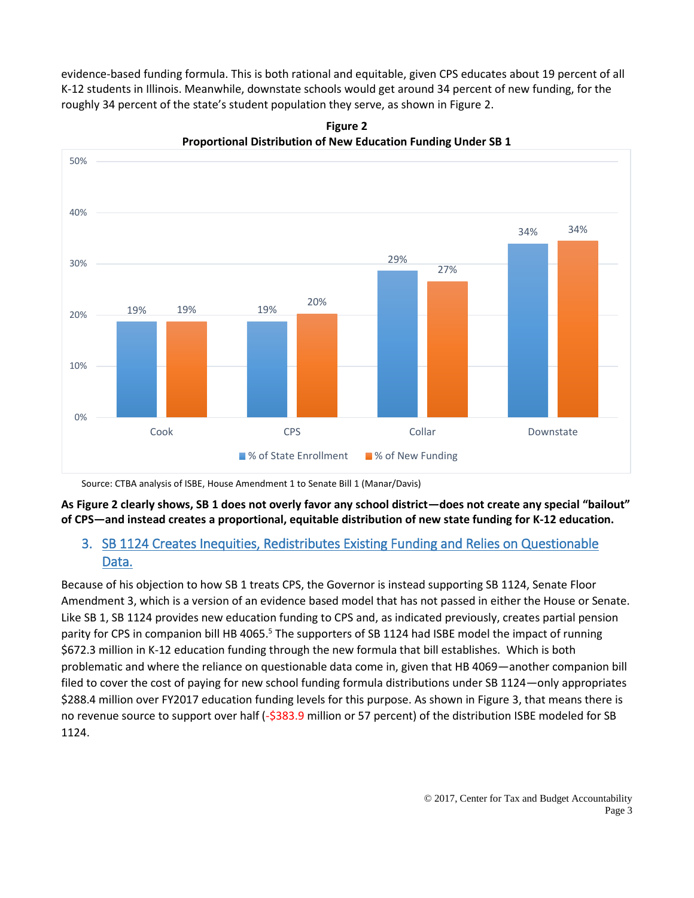evidence-based funding formula. This is both rational and equitable, given CPS educates about 19 percent of all K-12 students in Illinois. Meanwhile, downstate schools would get around 34 percent of new funding, for the roughly 34 percent of the state's student population they serve, as shown in Figure 2.



**Figure 2 Proportional Distribution of New Education Funding Under SB 1**

Source: CTBA analysis of ISBE, House Amendment 1 to Senate Bill 1 (Manar/Davis)

**As Figure 2 clearly shows, SB 1 does not overly favor any school district—does not create any special "bailout" of CPS—and instead creates a proportional, equitable distribution of new state funding for K-12 education.**

### 3. SB 1124 Creates Inequities, Redistributes Existing Funding and Relies on Questionable Data.

Because of his objection to how SB 1 treats CPS, the Governor is instead supporting SB 1124, Senate Floor Amendment 3, which is a version of an evidence based model that has not passed in either the House or Senate. Like SB 1, SB 1124 provides new education funding to CPS and, as indicated previously, creates partial pension parity for CPS in companion bill HB 4065.<sup>5</sup> The supporters of SB 1124 had ISBE model the impact of running \$672.3 million in K-12 education funding through the new formula that bill establishes. Which is both problematic and where the reliance on questionable data come in, given that HB 4069—another companion bill filed to cover the cost of paying for new school funding formula distributions under SB 1124—only appropriates \$288.4 million over FY2017 education funding levels for this purpose. As shown in Figure 3, that means there is no revenue source to support over half (-\$383.9 million or 57 percent) of the distribution ISBE modeled for SB 1124.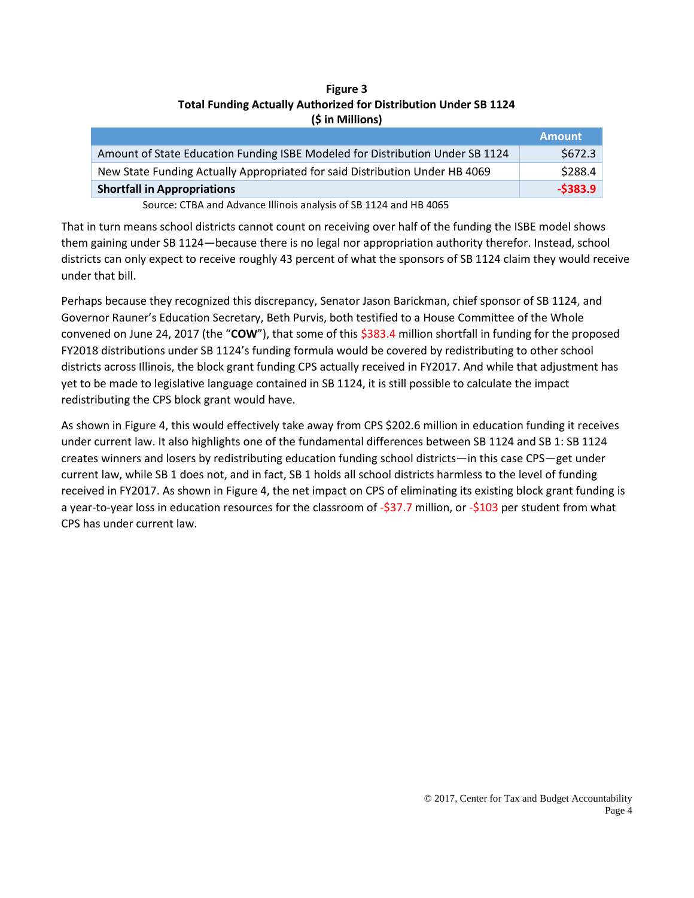### **Figure 3 Total Funding Actually Authorized for Distribution Under SB 1124 (\$ in Millions)**

|                                                                               | <b>Amount</b> |
|-------------------------------------------------------------------------------|---------------|
| Amount of State Education Funding ISBE Modeled for Distribution Under SB 1124 | \$672.3\$     |
| New State Funding Actually Appropriated for said Distribution Under HB 4069   | \$288.4       |
| <b>Shortfall in Appropriations</b>                                            | $-$ \$383.9   |
| $\cdots$ . The set of $\cdots$                                                |               |

Source: CTBA and Advance Illinois analysis of SB 1124 and HB 4065

That in turn means school districts cannot count on receiving over half of the funding the ISBE model shows them gaining under SB 1124—because there is no legal nor appropriation authority therefor. Instead, school districts can only expect to receive roughly 43 percent of what the sponsors of SB 1124 claim they would receive under that bill.

Perhaps because they recognized this discrepancy, Senator Jason Barickman, chief sponsor of SB 1124, and Governor Rauner's Education Secretary, Beth Purvis, both testified to a House Committee of the Whole convened on June 24, 2017 (the "**COW**"), that some of this \$383.4 million shortfall in funding for the proposed FY2018 distributions under SB 1124's funding formula would be covered by redistributing to other school districts across Illinois, the block grant funding CPS actually received in FY2017. And while that adjustment has yet to be made to legislative language contained in SB 1124, it is still possible to calculate the impact redistributing the CPS block grant would have.

As shown in Figure 4, this would effectively take away from CPS \$202.6 million in education funding it receives under current law. It also highlights one of the fundamental differences between SB 1124 and SB 1: SB 1124 creates winners and losers by redistributing education funding school districts—in this case CPS—get under current law, while SB 1 does not, and in fact, SB 1 holds all school districts harmless to the level of funding received in FY2017. As shown in Figure 4, the net impact on CPS of eliminating its existing block grant funding is a year-to-year loss in education resources for the classroom of -\$37.7 million, or -\$103 per student from what CPS has under current law.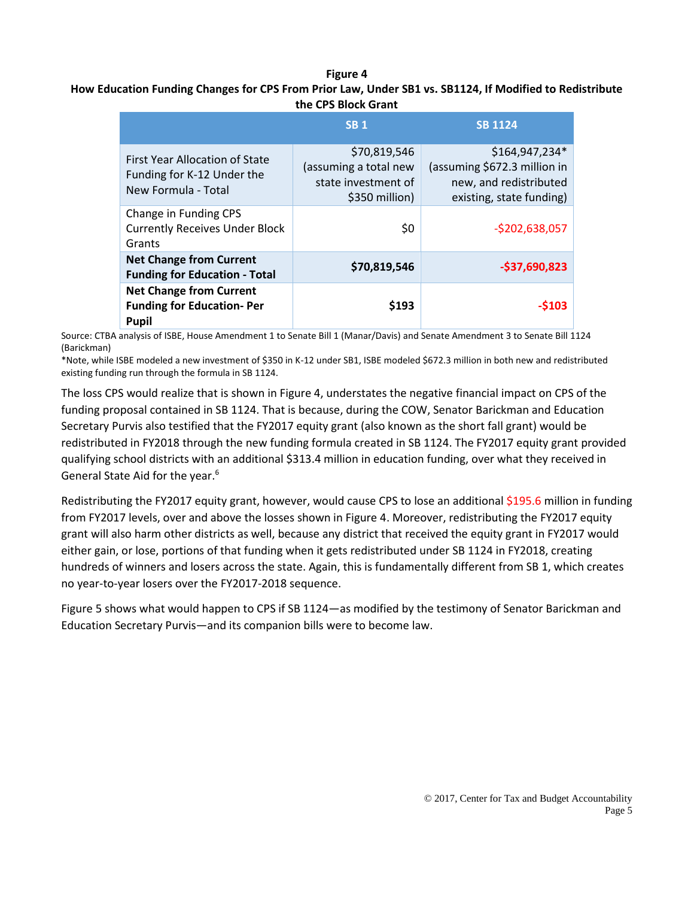#### **Figure 4**

### **How Education Funding Changes for CPS From Prior Law, Under SB1 vs. SB1124, If Modified to Redistribute the CPS Block Grant**

|                                                                                            | <b>SB1</b>                                                                     | <b>SB 1124</b>                                                                                       |
|--------------------------------------------------------------------------------------------|--------------------------------------------------------------------------------|------------------------------------------------------------------------------------------------------|
| <b>First Year Allocation of State</b><br>Funding for K-12 Under the<br>New Formula - Total | \$70,819,546<br>(assuming a total new<br>state investment of<br>\$350 million) | \$164,947,234*<br>(assuming \$672.3 million in<br>new, and redistributed<br>existing, state funding) |
| Change in Funding CPS<br><b>Currently Receives Under Block</b><br>Grants                   | \$0                                                                            | $-$202,638,057$                                                                                      |
| <b>Net Change from Current</b><br><b>Funding for Education - Total</b>                     | \$70,819,546                                                                   | $-$37,690,823$                                                                                       |
| <b>Net Change from Current</b><br><b>Funding for Education-Per</b><br>Pupil                | \$193                                                                          | $-5103$                                                                                              |

Source: CTBA analysis of ISBE, House Amendment 1 to Senate Bill 1 (Manar/Davis) and Senate Amendment 3 to Senate Bill 1124 (Barickman)

\*Note, while ISBE modeled a new investment of \$350 in K-12 under SB1, ISBE modeled \$672.3 million in both new and redistributed existing funding run through the formula in SB 1124.

The loss CPS would realize that is shown in Figure 4, understates the negative financial impact on CPS of the funding proposal contained in SB 1124. That is because, during the COW, Senator Barickman and Education Secretary Purvis also testified that the FY2017 equity grant (also known as the short fall grant) would be redistributed in FY2018 through the new funding formula created in SB 1124. The FY2017 equity grant provided qualifying school districts with an additional \$313.4 million in education funding, over what they received in General State Aid for the year.<sup>6</sup>

Redistributing the FY2017 equity grant, however, would cause CPS to lose an additional \$195.6 million in funding from FY2017 levels, over and above the losses shown in Figure 4. Moreover, redistributing the FY2017 equity grant will also harm other districts as well, because any district that received the equity grant in FY2017 would either gain, or lose, portions of that funding when it gets redistributed under SB 1124 in FY2018, creating hundreds of winners and losers across the state. Again, this is fundamentally different from SB 1, which creates no year-to-year losers over the FY2017-2018 sequence.

Figure 5 shows what would happen to CPS if SB 1124—as modified by the testimony of Senator Barickman and Education Secretary Purvis—and its companion bills were to become law.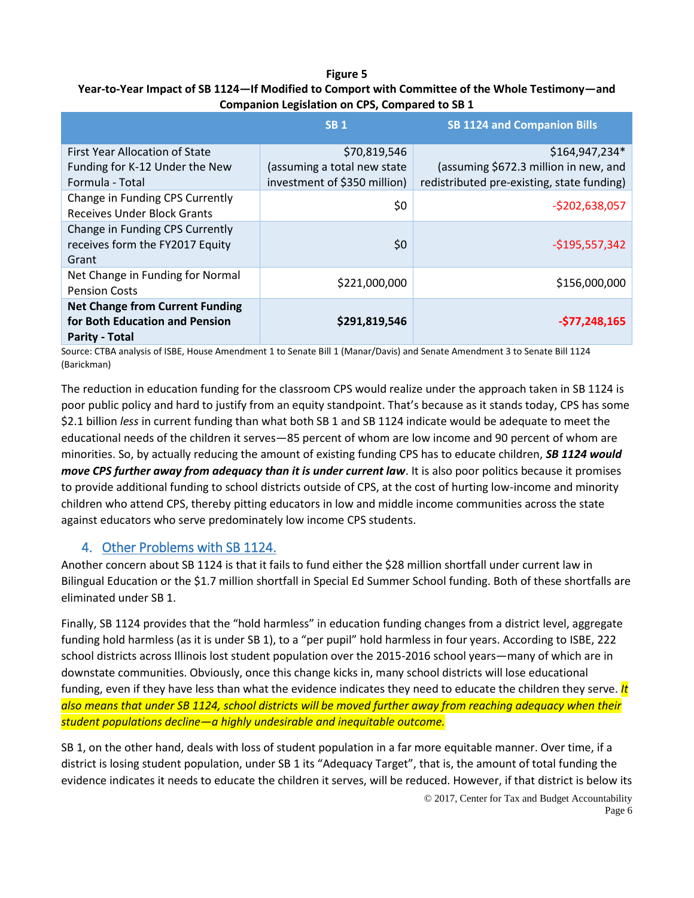### **Figure 5 Year-to-Year Impact of SB 1124—If Modified to Comport with Committee of the Whole Testimony—and Companion Legislation on CPS, Compared to SB 1**

|                                                                                                   | <b>SB1</b>                                                  | <b>SB 1124 and Companion Bills</b>                                                  |
|---------------------------------------------------------------------------------------------------|-------------------------------------------------------------|-------------------------------------------------------------------------------------|
| First Year Allocation of State                                                                    | \$70,819,546                                                | \$164,947,234*                                                                      |
| Funding for K-12 Under the New<br>Formula - Total                                                 | (assuming a total new state<br>investment of \$350 million) | (assuming \$672.3 million in new, and<br>redistributed pre-existing, state funding) |
| Change in Funding CPS Currently<br><b>Receives Under Block Grants</b>                             | \$0                                                         | $-5202,638,057$                                                                     |
| Change in Funding CPS Currently<br>receives form the FY2017 Equity<br>Grant                       | \$0                                                         | $-$195,557,342$                                                                     |
| Net Change in Funding for Normal<br><b>Pension Costs</b>                                          | \$221,000,000                                               | \$156,000,000                                                                       |
| <b>Net Change from Current Funding</b><br>for Both Education and Pension<br><b>Parity - Total</b> | \$291,819,546                                               | $-577,248,165$                                                                      |

Source: CTBA analysis of ISBE, House Amendment 1 to Senate Bill 1 (Manar/Davis) and Senate Amendment 3 to Senate Bill 1124 (Barickman)

The reduction in education funding for the classroom CPS would realize under the approach taken in SB 1124 is poor public policy and hard to justify from an equity standpoint. That's because as it stands today, CPS has some \$2.1 billion *less* in current funding than what both SB 1 and SB 1124 indicate would be adequate to meet the educational needs of the children it serves—85 percent of whom are low income and 90 percent of whom are minorities. So, by actually reducing the amount of existing funding CPS has to educate children, *SB 1124 would move CPS further away from adequacy than it is under current law*. It is also poor politics because it promises to provide additional funding to school districts outside of CPS, at the cost of hurting low-income and minority children who attend CPS, thereby pitting educators in low and middle income communities across the state against educators who serve predominately low income CPS students.

# 4. Other Problems with SB 1124.

Another concern about SB 1124 is that it fails to fund either the \$28 million shortfall under current law in Bilingual Education or the \$1.7 million shortfall in Special Ed Summer School funding. Both of these shortfalls are eliminated under SB 1.

Finally, SB 1124 provides that the "hold harmless" in education funding changes from a district level, aggregate funding hold harmless (as it is under SB 1), to a "per pupil" hold harmless in four years. According to ISBE, 222 school districts across Illinois lost student population over the 2015-2016 school years—many of which are in downstate communities. Obviously, once this change kicks in, many school districts will lose educational funding, even if they have less than what the evidence indicates they need to educate the children they serve. *It also means that under SB 1124, school districts will be moved further away from reaching adequacy when their student populations decline—a highly undesirable and inequitable outcome.*

SB 1, on the other hand, deals with loss of student population in a far more equitable manner. Over time, if a district is losing student population, under SB 1 its "Adequacy Target", that is, the amount of total funding the evidence indicates it needs to educate the children it serves, will be reduced. However, if that district is below its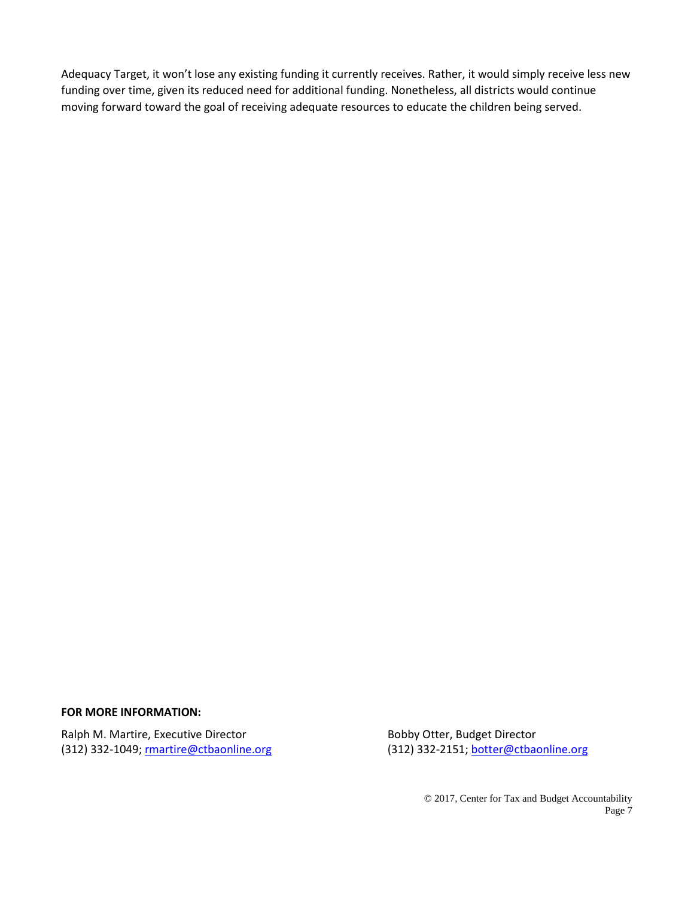Adequacy Target, it won't lose any existing funding it currently receives. Rather, it would simply receive less new funding over time, given its reduced need for additional funding. Nonetheless, all districts would continue moving forward toward the goal of receiving adequate resources to educate the children being served.

#### **FOR MORE INFORMATION:**

Ralph M. Martire, Executive Director **Bobby Otter, Budget Director** Bobby Otter, Budget Director (312) 332-1049; martire@ctbaonline.org (312) 332-2151[; botter@ctbaonline.org](mailto:botter@ctbaonline.org)

© 2017, Center for Tax and Budget Accountability Page 7